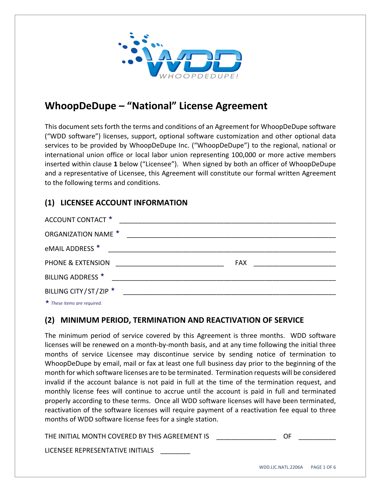

# **WhoopDeDupe – "National" License Agreement**

This document sets forth the terms and conditions of an Agreement for WhoopDeDupe software ("WDD software") licenses, support, optional software customization and other optional data services to be provided by WhoopDeDupe Inc. ("WhoopDeDupe") to the regional, national or international union office or local labor union representing 100,000 or more active members inserted within clause **1** below ("Licensee"). When signed by both an officer of WhoopDeDupe and a representative of Licensee, this Agreement will constitute our formal written Agreement to the following terms and conditions.

## **(1) LICENSEE ACCOUNT INFORMATION**

| ACCOUNT CONTACT *                                                                                                                                                                                                              |            |  |
|--------------------------------------------------------------------------------------------------------------------------------------------------------------------------------------------------------------------------------|------------|--|
| <b>ORGANIZATION NAME ★</b>                                                                                                                                                                                                     |            |  |
| eMAIL ADDRESS *                                                                                                                                                                                                                |            |  |
| PHONE & EXTENSION                                                                                                                                                                                                              | <b>FAX</b> |  |
| BILLING ADDRESS <sup>*</sup>                                                                                                                                                                                                   |            |  |
| BILLING CITY/ST/ZIP ★                                                                                                                                                                                                          |            |  |
| the property of the control of the control of the control of the control of the control of the control of the control of the control of the control of the control of the control of the control of the control of the control |            |  |

*These items are required.*

### **(2) MINIMUM PERIOD, TERMINATION AND REACTIVATION OF SERVICE**

The minimum period of service covered by this Agreement is three months. WDD software licenses will be renewed on a month‐by‐month basis, and at any time following the initial three months of service Licensee may discontinue service by sending notice of termination to WhoopDeDupe by email, mail or fax at least one full business day prior to the beginning of the month for which software licenses are to be terminated. Termination requests will be considered invalid if the account balance is not paid in full at the time of the termination request, and monthly license fees will continue to accrue until the account is paid in full and terminated properly according to these terms. Once all WDD software licenses will have been terminated, reactivation of the software licenses will require payment of a reactivation fee equal to three months of WDD software license fees for a single station.

THE INITIAL MONTH COVERED BY THIS AGREEMENT IS **THE INITIAL MONTH** 

LICENSEE REPRESENTATIVE INITIALS \_\_\_\_\_\_\_\_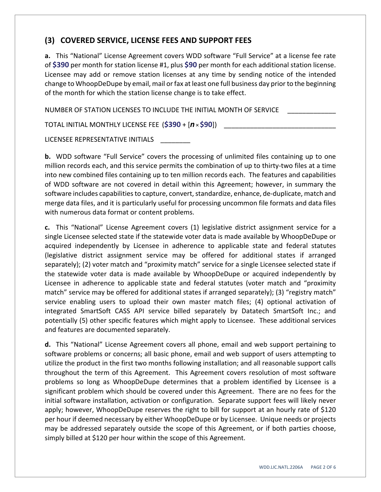#### **(3) COVERED SERVICE, LICENSE FEES AND SUPPORT FEES**

**a.** This "National" License Agreement covers WDD software "Full Service" at a license fee rate of **\$390** per month for station license #1, plus **\$90** per month for each additional station license. Licensee may add or remove station licenses at any time by sending notice of the intended change to WhoopDeDupe by email, mail or fax at least one full business day prior to the beginning of the month for which the station license change is to take effect.

NUMBER OF STATION LICENSES TO INCLUDE THE INITIAL MONTH OF SERVICE

TOTAL INITIAL MONTHLY LICENSE FEE (\$390 + [*n* × \$90])

LICENSEE REPRESENTATIVE INITIALS

**b.** WDD software "Full Service" covers the processing of unlimited files containing up to one million records each, and this service permits the combination of up to thirty-two files at a time into new combined files containing up to ten million records each. The features and capabilities of WDD software are not covered in detail within this Agreement; however, in summary the software includes capabilities to capture, convert, standardize, enhance, de-duplicate, match and merge data files, and it is particularly useful for processing uncommon file formats and data files with numerous data format or content problems.

**c.** This "National" License Agreement covers (1) legislative district assignment service for a single Licensee selected state if the statewide voter data is made available by WhoopDeDupe or acquired independently by Licensee in adherence to applicable state and federal statutes (legislative district assignment service may be offered for additional states if arranged separately); (2) voter match and "proximity match" service for a single Licensee selected state if the statewide voter data is made available by WhoopDeDupe or acquired independently by Licensee in adherence to applicable state and federal statutes (voter match and "proximity match" service may be offered for additional states if arranged separately); (3) "registry match" service enabling users to upload their own master match files; (4) optional activation of integrated SmartSoft CASS API service billed separately by Datatech SmartSoft Inc.; and potentially (5) other specific features which might apply to Licensee. These additional services and features are documented separately.

**d.** This "National" License Agreement covers all phone, email and web support pertaining to software problems or concerns; all basic phone, email and web support of users attempting to utilize the product in the first two months following installation; and all reasonable support calls throughout the term of this Agreement. This Agreement covers resolution of most software problems so long as WhoopDeDupe determines that a problem identified by Licensee is a significant problem which should be covered under this Agreement. There are no fees for the initial software installation, activation or configuration. Separate support fees will likely never apply; however, WhoopDeDupe reserves the right to bill for support at an hourly rate of \$120 per hour if deemed necessary by either WhoopDeDupe or by Licensee. Unique needs or projects may be addressed separately outside the scope of this Agreement, or if both parties choose, simply billed at \$120 per hour within the scope of this Agreement.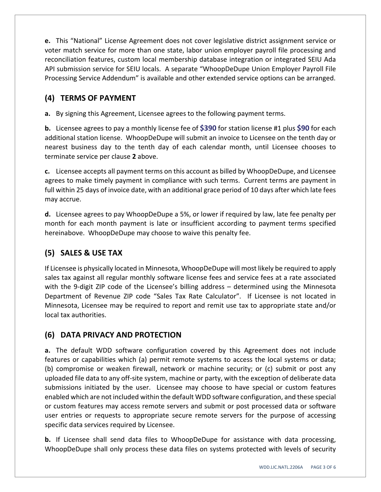**e.** This "National" License Agreement does not cover legislative district assignment service or voter match service for more than one state, labor union employer payroll file processing and reconciliation features, custom local membership database integration or integrated SEIU Ada API submission service for SEIU locals. A separate "WhoopDeDupe Union Employer Payroll File Processing Service Addendum" is available and other extended service options can be arranged.

### **(4) TERMS OF PAYMENT**

**a.** By signing this Agreement, Licensee agrees to the following payment terms.

**b.** Licensee agrees to pay a monthly license fee of **\$390** for station license #1 plus **\$90** for each additional station license. WhoopDeDupe will submit an invoice to Licensee on the tenth day or nearest business day to the tenth day of each calendar month, until Licensee chooses to terminate service per clause **2** above.

**c.** Licensee accepts all payment terms on this account as billed by WhoopDeDupe, and Licensee agrees to make timely payment in compliance with such terms. Current terms are payment in full within 25 days of invoice date, with an additional grace period of 10 days after which late fees may accrue.

**d.** Licensee agrees to pay WhoopDeDupe a 5%, or lower if required by law, late fee penalty per month for each month payment is late or insufficient according to payment terms specified hereinabove. WhoopDeDupe may choose to waive this penalty fee.

# **(5) SALES & USE TAX**

If Licensee is physically located in Minnesota, WhoopDeDupe will most likely be required to apply sales tax against all regular monthly software license fees and service fees at a rate associated with the 9-digit ZIP code of the Licensee's billing address – determined using the Minnesota Department of Revenue ZIP code "Sales Tax Rate Calculator". If Licensee is not located in Minnesota, Licensee may be required to report and remit use tax to appropriate state and/or local tax authorities.

### **(6) DATA PRIVACY AND PROTECTION**

**a.** The default WDD software configuration covered by this Agreement does not include features or capabilities which (a) permit remote systems to access the local systems or data; (b) compromise or weaken firewall, network or machine security; or (c) submit or post any uploaded file data to any off‐site system, machine or party, with the exception of deliberate data submissions initiated by the user. Licensee may choose to have special or custom features enabled which are not included within the default WDD software configuration, and these special or custom features may access remote servers and submit or post processed data or software user entries or requests to appropriate secure remote servers for the purpose of accessing specific data services required by Licensee.

**b.** If Licensee shall send data files to WhoopDeDupe for assistance with data processing, WhoopDeDupe shall only process these data files on systems protected with levels of security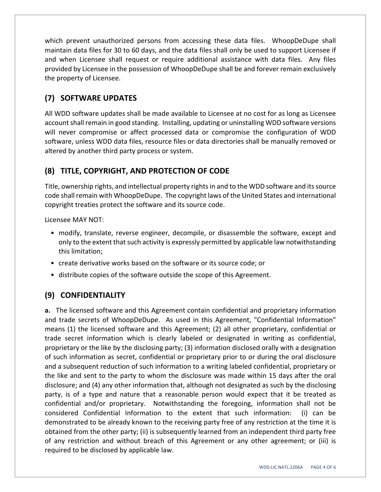which prevent unauthorized persons from accessing these data files. WhoopDeDupe shall maintain data files for 30 to 60 days, and the data files shall only be used to support Licensee if and when Licensee shall request or require additional assistance with data files. Any files provided by Licensee in the possession of WhoopDeDupe shall be and forever remain exclusively the property of Licensee.

# **(7) SOFTWARE UPDATES**

All WDD software updates shall be made available to Licensee at no cost for as long as Licensee account shall remain in good standing. Installing, updating or uninstalling WDD software versions will never compromise or affect processed data or compromise the configuration of WDD software, unless WDD data files, resource files or data directories shall be manually removed or altered by another third party process or system.

## **(8) TITLE, COPYRIGHT, AND PROTECTION OF CODE**

Title, ownership rights, and intellectual property rightsin and to the WDD software and itssource code shall remain with WhoopDeDupe. The copyright laws of the United States and international copyright treaties protect the software and its source code.

Licensee MAY NOT:

- modify, translate, reverse engineer, decompile, or disassemble the software, except and only to the extent that such activity is expressly permitted by applicable law notwithstanding this limitation;
- create derivative works based on the software or its source code; or
- distribute copies of the software outside the scope of this Agreement.

### **(9) CONFIDENTIALITY**

**a.** The licensed software and this Agreement contain confidential and proprietary information and trade secrets of WhoopDeDupe. As used in this Agreement, "Confidential Information" means (1) the licensed software and this Agreement; (2) all other proprietary, confidential or trade secret information which is clearly labeled or designated in writing as confidential, proprietary or the like by the disclosing party; (3) information disclosed orally with a designation of such information as secret, confidential or proprietary prior to or during the oral disclosure and a subsequent reduction of such information to a writing labeled confidential, proprietary or the like and sent to the party to whom the disclosure was made within 15 days after the oral disclosure; and (4) any other information that, although not designated as such by the disclosing party, is of a type and nature that a reasonable person would expect that it be treated as confidential and/or proprietary. Notwithstanding the foregoing, information shall not be considered Confidential Information to the extent that such information: (i) can be demonstrated to be already known to the receiving party free of any restriction at the time it is obtained from the other party; (ii) is subsequently learned from an independent third party free of any restriction and without breach of this Agreement or any other agreement; or (iii) is required to be disclosed by applicable law.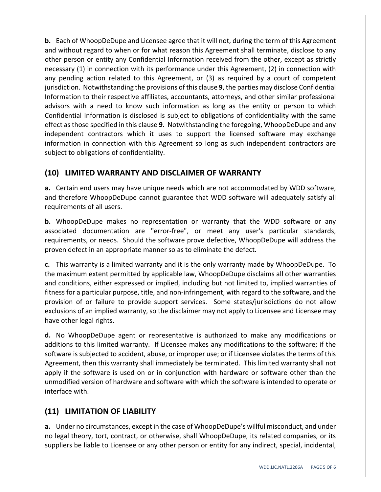**b.** Each of WhoopDeDupe and Licensee agree that it will not, during the term of this Agreement and without regard to when or for what reason this Agreement shall terminate, disclose to any other person or entity any Confidential Information received from the other, except as strictly necessary (1) in connection with its performance under this Agreement, (2) in connection with any pending action related to this Agreement, or (3) as required by a court of competent jurisdiction. Notwithstanding the provisions of this clause **9**, the parties may disclose Confidential Information to their respective affiliates, accountants, attorneys, and other similar professional advisors with a need to know such information as long as the entity or person to which Confidential Information is disclosed is subject to obligations of confidentiality with the same effect asthose specified in this clause **9**. Notwithstanding the foregoing, WhoopDeDupe and any independent contractors which it uses to support the licensed software may exchange information in connection with this Agreement so long as such independent contractors are subject to obligations of confidentiality.

### **(10) LIMITED WARRANTY AND DISCLAIMER OF WARRANTY**

**a.** Certain end users may have unique needs which are not accommodated by WDD software, and therefore WhoopDeDupe cannot guarantee that WDD software will adequately satisfy all requirements of all users.

**b.** WhoopDeDupe makes no representation or warranty that the WDD software or any associated documentation are "error‐free", or meet any user's particular standards, requirements, or needs. Should the software prove defective, WhoopDeDupe will address the proven defect in an appropriate manner so as to eliminate the defect.

**c.** This warranty is a limited warranty and it is the only warranty made by WhoopDeDupe. To the maximum extent permitted by applicable law, WhoopDeDupe disclaims all other warranties and conditions, either expressed or implied, including but not limited to, implied warranties of fitness for a particular purpose, title, and non-infringement, with regard to the software, and the provision of or failure to provide support services. Some states/jurisdictions do not allow exclusions of an implied warranty, so the disclaimer may not apply to Licensee and Licensee may have other legal rights.

**d.** No WhoopDeDupe agent or representative is authorized to make any modifications or additions to this limited warranty. If Licensee makes any modifications to the software; if the software is subjected to accident, abuse, or improper use; or if Licensee violates the terms of this Agreement, then this warranty shall immediately be terminated. This limited warranty shall not apply if the software is used on or in conjunction with hardware or software other than the unmodified version of hardware and software with which the software is intended to operate or interface with.

### **(11) LIMITATION OF LIABILITY**

**a.** Under no circumstances, except in the case of WhoopDeDupe's willful misconduct, and under no legal theory, tort, contract, or otherwise, shall WhoopDeDupe, its related companies, or its suppliers be liable to Licensee or any other person or entity for any indirect, special, incidental,